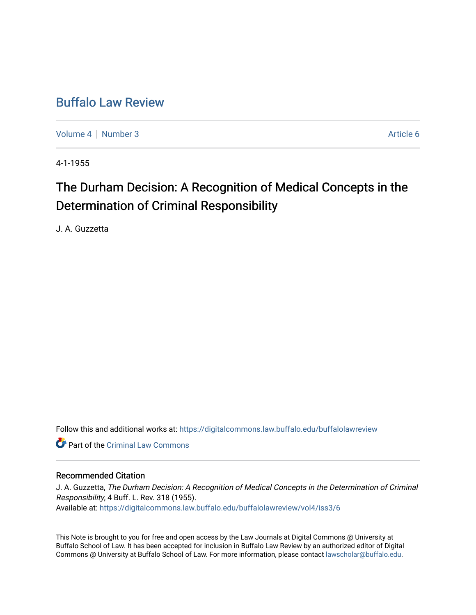# [Buffalo Law Review](https://digitalcommons.law.buffalo.edu/buffalolawreview)

[Volume 4](https://digitalcommons.law.buffalo.edu/buffalolawreview/vol4) | [Number 3](https://digitalcommons.law.buffalo.edu/buffalolawreview/vol4/iss3) Article 6

4-1-1955

# The Durham Decision: A Recognition of Medical Concepts in the Determination of Criminal Responsibility

J. A. Guzzetta

Follow this and additional works at: [https://digitalcommons.law.buffalo.edu/buffalolawreview](https://digitalcommons.law.buffalo.edu/buffalolawreview?utm_source=digitalcommons.law.buffalo.edu%2Fbuffalolawreview%2Fvol4%2Fiss3%2F6&utm_medium=PDF&utm_campaign=PDFCoverPages) 

**C** Part of the Criminal Law Commons

# Recommended Citation

J. A. Guzzetta, The Durham Decision: A Recognition of Medical Concepts in the Determination of Criminal Responsibility, 4 Buff. L. Rev. 318 (1955). Available at: [https://digitalcommons.law.buffalo.edu/buffalolawreview/vol4/iss3/6](https://digitalcommons.law.buffalo.edu/buffalolawreview/vol4/iss3/6?utm_source=digitalcommons.law.buffalo.edu%2Fbuffalolawreview%2Fvol4%2Fiss3%2F6&utm_medium=PDF&utm_campaign=PDFCoverPages) 

This Note is brought to you for free and open access by the Law Journals at Digital Commons @ University at Buffalo School of Law. It has been accepted for inclusion in Buffalo Law Review by an authorized editor of Digital Commons @ University at Buffalo School of Law. For more information, please contact [lawscholar@buffalo.edu](mailto:lawscholar@buffalo.edu).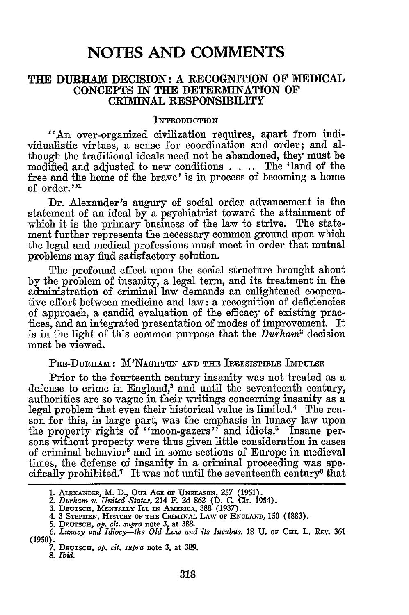# **NOTES AND COMMENTS**

# **THE DURHAM DECISION: A RECOGNITION OF MEDICAL CONCEPTS IN THE DETERMINATION OF CREIINAL RESPONSIBILITY**

#### INTRODUCTION

"An over-organized civilization requires, apart from individualistic virtues, a sense for coordination and order; and although the traditional ideals need not be abandoned, they must be modified and adjusted to new conditions . **.** .. The **'land** of the free and the home of the brave' is in process of becoming a home of order. **<sup>1</sup>**

Dr. Alexander's augury of social order advancement is the statement of an ideal **by** a psychiatrist toward the attainment of which it is the primary business of the law to strive. The statement further represents the necessary common ground upon which the legal and medical professions must meet in order that mutual problems may find satisfactory solution.

The profound effect upon the social structure brought about **by** the problem of insanity, a legal term, and its treatment in the administration of criminal law demands an enlightened cooperative effort between medicine and law: a recognition of deficiencies of approach, a candid evaluation of the efficacy of existing practices, and an integrated presentation of modes of improvement. It is in the light of this common purpose that the *Durham"* decision must be viewed.

#### PRE-Duna~m: M NAGHTEN **AND** THE IRRESISTIBLE **IMPULSE**

Prior to the fourteenth century insanity was not treated as a defense to crime in England,<sup>3</sup> and until the seventeenth century, authorities are so vague in their writings concerning insanity as a legal problem that even their historical value is limited.4 The reason for this, in large part, was the emphasis in lunacy law upon the property rights of "moon-gazers" and idiots.<sup>5</sup> Insane persons without property were thus given little consideration in cases of criminal behavior<sup>6</sup> and in some sections of Europe in medieval times, the defense of insanity in a criminal proceeding was specifically prohibited.<sup>7</sup> It was not until the seventeenth century<sup>8</sup> that

**<sup>1.</sup>** ALEXANDER, M. **D., Oum AGE OF UNREASON, 257 (1951).** *2. Durham v. United States,* 214 F. **2d 862 (D. C.** Cir. 1954). **3. DEUTSCH, MENTALLY ILL IN AMERICA,** 388 **(1937).**

<sup>4. 3</sup> **STEPHEN,** HISTORY **OF THE** CRImINAL LAW **OF ENGLAND,** 150 (1883). **5. DEUTSCH,** *op. cit. sumpra* note 3, at 388.

*<sup>6.</sup> Lunacy and Idiocy--the Old Law and its Incubus,* **18 U. oF CHI.** L. **REV. 361** (1950). *7.* **DEUTSCH,** *op. cit. supra* **note 3, at 389.**

*<sup>8.</sup> Ibid.*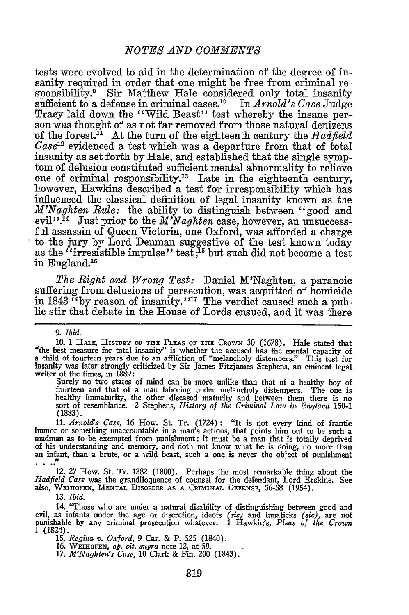tests were evolved to aid in the determination of the degree of insanity required in order that one might be free from criminal responsibility.<sup>9</sup> Sir Matthew Hale considered only total insanity sufficient to a defense in criminal cases.<sup>10</sup> In *Arnold's Case* Judge Tracy laid down the "Wild Beast" test whereby the insane person was thought of as not far removed from those natural denizens of the forest." At the turn of the eighteenth century the *Hadfield Case2* evidenced a test which was a departure from that of total insanity as set forth by Hale, and established that the single symptom of delusion constituted sufficient mental abnormality to relieve one of criminal responsibility.<sup>13</sup> Late in the eighteenth century, however, Hawkins described a test for irresponsibility which has influenced the classical definition of legal insanity known as the *M'Naghten Rule:* the ability to distinguish between "good and evil".<sup>14</sup> Just prior to the *M'Naghten* case, however, an unsuccessful assassin of Queen Victoria, one Oxford, was afforded a charge to the jury by Lord Denman suggestive of the test known today as the "irresistible impulse" test;<sup>15</sup> but such did not become a test in England.'

*The Right and Wrong Test:* Daniel M'Naghten, a paranoic suffering from delusions of persecution, was acquitted of homicide in 1843 "by reason of insanity."<sup>17</sup> The verdict caused such a public stir that debate in the House of Lords ensued, and it was there

*9. Ibid.*

Surely no two states of mind can be more unlike than that of a healthy boy of fourteen and that of a man laboring under melancholy distempers. The one is healthy immaturity, the other diseased maturity and between them there is no sort of resemblance. 2 Stephens, *History of the Criminal Law in England* **150-1** (1883).

*11. Arnold's Case,* **16** How. St. Tr. (1724): "It is not every kind of frantic humor or something unaccountable in a man's actions, that points him out to be such a<br>madman as to be exempted from punishment; it must be a man that is totally deprived<br>of his understanding and memory, and doth not know w

12. 27 How. St. Tr. 1282 (1800). Perhaps the most remarkable thing about the *Hadfield Case* was the grandiloquence of counsel for the defendant, Lord Erskine. See also, WEIHOFEN, **MENTAL** DISORDER **AS A CEINAL DEFENSE,** 56-58 (1954).

**13.** *Ibid.*

14. "Those who are under a natural disability of distinguishing between good and evil, as infants under the age of discretion, ideots *(sic)* and lunaticks *(sic),* are not punishable by any criminal prosecution whatever. **1** Hawkin's, *Pleas of the Crozwn* 1 (1824).

**15.** *Regina v. Oxford,* 9 Car. & P. **525** (1840).

16. **WEIHOFEN,** *op. cit. sumra* note 12, at 59. *17. M'Naghtei's Case,* 10 Clark & Fin. 200 (1843).

<sup>10. 1</sup> **HALE,** HISTORY **OF THE** PLEAS OF **THE** CROWN 30 (1678). Hale stated that "the best measure for total insanity" is whether the accused has the mental capacity of a child of fourteen years due to an affliction of "melancholy distempers." This test for insanity was later strongly criticized by Sir James Fitzjames Stephens, an eminent legal writer of the times, in 1889: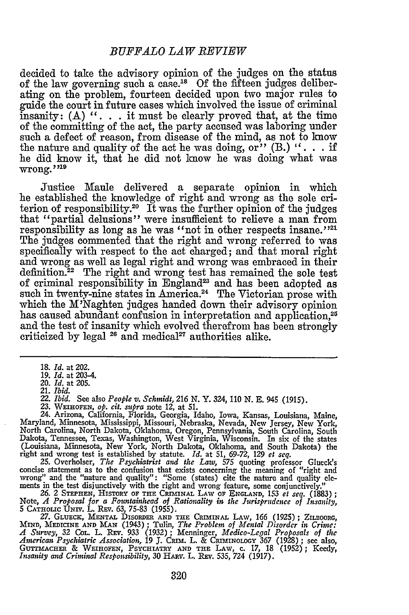decided to take the advisory opinion of the judges on the status of the law governing such a case.<sup>18</sup> Of the fifteen judges deliberating on the problem, fourteen decided upon two major rules to guide the court in future cases which involved the issue of criminal insanity: **(A) ". . .** it must be clearly proved that, at the time of the committing of the act, the party accused was laboring under such a defect of reason, from disease of the mind, as not to know the nature and quality of the act he was doing, or"  $(B)$  ".  $\ldots$  if he did know it, that he did not know he was doing what was wrong. **"219**

Justice Maule delivered a separate opinion in which he established the knowledge of right and wrong as the sole criterion of responsibility.20 It was the further opinion of the judges that "partial delusions" were insufficient to relieve a man from responsibility as long as he was "not in other respects insane."<sup>21</sup> The judges commented that the right and wrong referred to was specifically with respect to the act charged; and that moral right and wrong as well as legal right and wrong was embraced in their definition.22 The right and wrong test has remained the sole test of criminal responsibility in England23 and has been adopted as such in twenty-nine states in America.<sup>24</sup> The Victorian prose with which the M'Naghten judges handed down their advisory opinion has caused abundant confusion in interpretation and application.<sup>21</sup> and the test of insanity which evolved therefrom has been strongly criticized by legal <sup>26</sup> and medical<sup>27</sup> authorities alike.

23. WHOFEN, *op. cit. supra* note 12, at 51. 24. Arizona, California, Florida, Georgia, Idaho, Iowa, Kansas, Louisiana, Maine, Maryland, Minnesota, Mississippi, Missouri, Nebraska, Nevada, New Jersey, New York, North Carolina, North Dakota, Oklahoma, Oregon, Pennsylvania, South Carolina, South Dakota, Tennessee, Texas, Washington, West Virginia, Wisconsin. In six of the states (Louisiana, Minnesota, New York, North Dakota, Oklahoma, and South Dakota) the right and wrong test is established by statute. *Id.* at 51, 69-72, 129 et seq.<br>25. Overholser, *The Psychiatrist and the Law*, 575 quoting pro

concise statement as to the confusion that exists concerning the meaning of "right and wrong" and the "nature and quality": "Some (states) cite the nature and quality elements in the test disjunctively with the right and wrong feature, some conjunctively." *26.* 2 **STEPHEN, HISTORY OF THE CRIINAL** LAW **OF ENGLAND, 153** *et seq.* **(1883);**

Note, A Proposal for a Fountainhead of Rationality in the Jurisprudence of Insanity,<br>5 CATHOLIC UNIV. L. REV. 63, 75-83 (1955).<br>27. GLUECK, MENTAL DISORDER AND THE CRIMINAL LAW. 166 (1925): ZILBOORG.

MIND, MEDICINE AND MAN (1943); Tulin, The Problem of Mental Disorder in Crime:<br>A Survey, 32 Col., L. REV. 933 (1932); Menninger, Medico-Legal Proposals of the<br>American Psychiatric Association, 19 J. CRIM. L. & CRIMINOLOGY GUTTMACHER & **WEIHOFEN,** PSYCHIATRY **AND THE** LAW, c. **17,** 18 (1952); Keedy, *Insanity and Criminal Responsibility,* **30** HARv. L. REv. 535, 724 **(1917).**

**<sup>18.</sup>** *Id.* at 202.

**<sup>19.</sup>** *Id.* at 203-4.

<sup>20.</sup> *Id.* at **205.**

<sup>21.</sup> *Ibid.*

<sup>22.</sup> *Ibid.* See also *People v. Schmidt,* **216 N.** Y. 324, **110 N. E.** 945 (1915).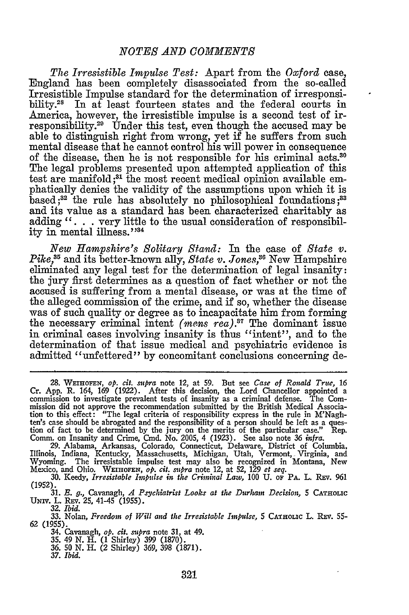*The Irresistible Impulse Test:* Apart from the *Oxford* case, England has been completely disassociated from the so-called Irresistible Impulse standard for the determination of irresponsibility.<sup>28</sup> In at least fourteen states and the federal courts in America, however, the irresistible impulse is a second test of irresponsibility.<sup>29</sup> Under this test, even though the accused may be able to distinguish right from wrong, yet if he suffers from such mental disease that he cannot control his will power in consequence of the disease, then he is not responsible for his criminal acts.<sup>30</sup> The legal problems presented upon attempted application of this test are manifold **;81** the most recent medical opinion available emphatically denies the validity of the assumptions upon which it is based;82 the rule has absolutely no philosophical foundations **;83** and its value as a standard has been characterized charitably as adding ". . . very little to the usual consideration of responsibility in mental illness."34

*New Hampshire's Solitary Stand:* In the case of *State v. Pike*,<sup>35</sup> and its better-known ally, *State v. Jones*,<sup>36</sup> New Hampshire eliminated any legal test for the determination of legal insanity: the jury first determines as a question of fact whether or not the accused is suffering from a mental disease, or was at the time of the alleged commission of the crime, and if so, whether the disease was of such quality or degree as to incapacitate him from forming the necessary criminal intent *(mens rea)*.<sup>37</sup> The dominant issue in criminal cases involving insanity is thus "intent", and to the determination of that issue medical and psychiatric evidence is admitted "unfettered" by concomitant conclusions concerning de-

<sup>28.</sup> WEiHOFN, *op. cit. supra* note 12, at **59.** But see *Case of Ronald Trite,* 16 Cr. App. R. 164, 169 (1922). After this decision, the Lord Chancellor appointed a commission to investigate prevalent tests of insanity as a criminal defense. The Commission did not approve the recommendation submitted by tion to this effect: "The legal criteria of responsibility express in the rule in M'Nagh-<br>ten's case should be abrogated and the responsibility of a person should be left as a ques-<br>tion of fact to be determined by the ju

Illinois, Indiana, Kentucky, Massachusetts, Michigan, Utah, Vermont, Virginia, and Wyoming. The irresistable impulse test may also be recognized in Montana, New Mexico, and Ohio. WEIHOFEN, *op. cit. supra* note 12, at 52, 129 *et seq.*

**<sup>30.</sup>** Keedy, *Irresistable Impulse in the Criminal Law,* **100 U. oF PA.** L. Rxv. 961 **(1952).**

**<sup>31.</sup>** *B. g.,* Cavanagh, *A Psychiatrist Looks at the Durham Decision,* **5** CATHOLIC **UNIv.** L. REv. **25,** 41-45 (1955). **32.** *Ibid.*

**<sup>33.</sup>** Nolan, *Freedom of Will and the Irresistable Impulse,* 5 CATHOLiC L. **REv. 55- 62** (1955). 34. Cavanagh, *op. cit. supra* note 31, at 49. 35. 49 N. H. **(1** Shirley) 399 (1870). *36.* 50 N. H. (2 Shirley) 369, 398 (1871).

*<sup>37.</sup> Ibid.*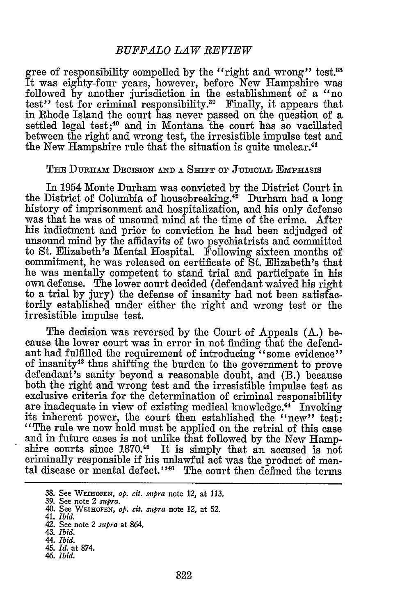# *BUFFALO LAW REVIEW*

gree of responsibility compelled by the "right and wrong" test.<sup>88</sup> It was eighty-four years, however, before New Hampshire was followed **by** another jurisdiction in the establishment of a "no test" test for criminal responsibility.<sup>39</sup> Finally, it appears that in Rhode Island the court has never passed on the question of a settled legal test;<sup>40</sup> and in Montana the court has so vacillated between the right and wrong test, the irresistible impulse test and the New Hampshire rule that the situation is quite unclear.<sup>41</sup>

#### THE DURHAM DECISION AND A SHIFT OF JUDICIAL EMPHASIS

In 1954 Monte Durham was convicted by the District Court in the District of Columbia of housebreaking.<sup>42</sup> Durham had a long history of imprisonment and hospitalization, and his only defense was that he was of unsound mind at the time of the crime. After his indictment and prior to conviction he had been adjudged of unsound mind by the affidavits of two psychiatrists and committed to St. Elizabeth's Mental Hospital. Following sixteen months of commitment, he was released on certificate of St. Elizabeth's that he was mentally competent to stand trial and participate in his own defense. The lower court decided (defendant waived his right to a trial by jury) the defense of insanity had not been satisfactorily established under either the right and wrong test or the irresistible impulse test.

The decision was reversed by the Court of Appeals (A.) because the lower court was in error in not finding that the defendant had fulfilled the requirement of introducing "some evidence" of insanity43 thus shifting the burden to the government to prove defendant's sanity beyond a reasonable doubt, and (B.) because both the right and wrong test and the irresistible impulse test as exclusive criteria for the determination of criminal responsibility are inadequate in view of existing medical knowledge.<sup>44</sup> Invoking its inherent power, the court then established the "new" test: "The rule we now hold must be applied on the retrial of this case and in future cases is not unlike that followed by the New Hampshire courts since **1870.15** It is simply that an accused is not criminally responsible if his unlawful act was the product of mental disease or mental defect."<sup>46</sup> The court then defined the terms

**<sup>38.</sup>** See **WEIHOFEN,** *op. cit. mpra* note 12, at 113.

<sup>39.</sup> See note 2 *supra.* 40. See WEIHoFEN, *op. cit. supra* note 12, at 52.

<sup>41.</sup> *Ibid.*

<sup>42.</sup> See note 2 *supra* at 864.

<sup>43.</sup> *Ibid.*

*<sup>44.</sup> Ibid.*

<sup>45.</sup> *Id.* at 874. *46. Ibid.*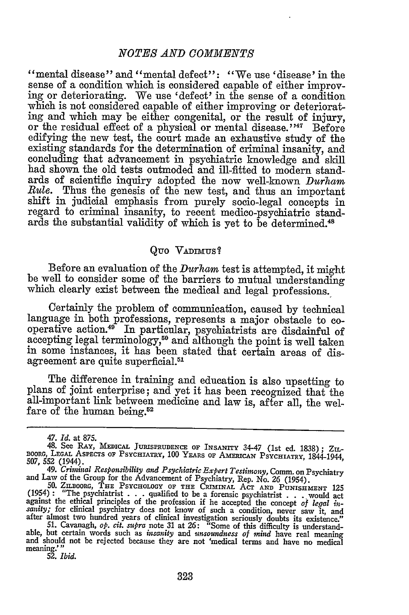" mental disease" and "mental defect": "We use 'disease' in the sense of a condition which is considered capable of either improving or deteriorating. We use 'defect' in the sense of a condition which is not considered capable of either improving or deteriorating and which may be either congenital, or the result of injury, or the residual effect of a physical or mental disease."<sup>47</sup> Before edifying the new test, the court made an exhaustive study of the existing standards for the determination of criminal insanity, and concluding that advancement in psychiatric knowledge and skill had shown the old tests outmoded and ill-fitted to modern standards of scientific inquiry adopted the now well-known *Durham Rule.* Thus the genesis of the new test, and thus an important shift in judicial emphasis from purely socio-legal concepts in regard to criminal insanity, to recent medico-psychiatric standards the substantial validity of which is yet to be determined.<sup>48</sup>

#### Quo Vadimus?

Before an evaluation of the *Durham* test is attempted, it might be well to consider some of the barriers to mutual understanding which clearly exist between the medical and legal professions.

Certainly the problem of communication, caused by technical language in both professions, represents a major obstacle to cooperative action.49 In particular, psychiatrists are disdainful of accepting legal terminology,<sup>50</sup> and although the point is well taken in some instances, it has been stated that certain areas of disagreement are quite superficial.<sup>51</sup>

The difference in training and education is also upsetting to plans of joint enterprise; and yet it has been recognized that the all-important link between medicine and law is, after all, the welfare of the human being.<sup>52</sup>

*<sup>47.</sup> Id.* at 875.

<sup>48.</sup> See RAY, **MEnICAL JURISPRUDENCE OF INSANITY** 34-47 (1st ed. 1838); ZI.- BOORG, LEGAL ASPECTS OF PSYCHIATRY, 100 YEARS OF AMERICAN PSYCHIATRY, 1844-1944, 507, 552 (1944).<br>49. Criminal Responsibility and Psychiatric Expert Testimony, Comm. on Psychiatry

<sup>(1954)</sup> **:** "The psychiatrist . . . qualified to be a forensic psychiatrist . . . would act experiment the ethical principles of the profession if he accepted the core of *legal in-*<br>sanity; for clinical psychiatry does not know of such a condition, never saw it, and<br>after almost two hundred years of clinical inv

**<sup>51.</sup>** Cavanagh, *op. cit. sumra* note 31 at *26:* "Some of this difficulty is understandable, but certain words such as *insanity and unsoundness of mind* have real meaning and should not be rejected because they are not 'medical terms and have no medical meaning.' **52.** *Ibid.*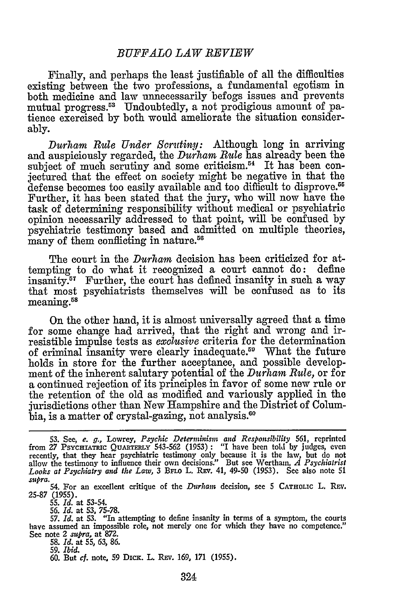## *BUFFALO LAW REVIEW*

Finally, and perhaps the least justifiable of all the difficulties existing between the two professions, a fundamental egotism in both medicine and law unnecessarily befogs issues and prevents mutual progress.<sup>53</sup> Undoubtedly, a not prodigious amount of patience exercised by both would ameliorate the situation considerably.

*Durham Rule Under Scrutiny:* Although long in arriving and auspiciously regarded, the *Durham Rule* has already been the subject of much scrutiny and some criticism.<sup>54</sup> It has been conjectured that the effect on society might be negative in that the defense becomes too easily available and too difficult to disprove.<sup>55</sup> Further, it has been stated that the jury, who will now have the task of determining responsibility without medical or psychiatric opinion necessarily addressed to that point, will be confused by psychiatric testimony based and admitted on multiple theories, many of them conflicting in nature.<sup>56</sup>

The court in the *Durham* decision has been criticized for attempting to do what it recognized a court cannot do: define insanity.<sup>57</sup> Further, the court has defined insanity in such a way that most psychiatrists themselves will be confused as to its meaning.58

On the other hand, it is almost universally agreed that a time for some change had arrived, that the right and wrong and irresistible impulse tests as *exclusive* criteria for the determination of criminal insanity were clearly inadequate.<sup>50</sup> What the future holds in store for the further acceptance, and possible development of the inherent salutary potential of the *Durham Rule,* or for a continued rejection of its principles in favor of some new rule or the retention of the old as modified and variously applied in the jurisdictions other than New Hampshire and the District of Columbia, is a matter of crystal-gazing, not analysis.<sup>60</sup>

**58.** *Id.* at *55, 63,* **86.**

60. But *cf.* note, 59 DICK. L. REV. 169, 171 (1955).

**<sup>53.</sup>** See, *e. g.,* Lowrey, *Psychic Determinism and Responsibility* 561, reprinted from *27* **PSYCHIATRC QuARTERIy** 543-562 (1953) **:** "I have been told **by judges,** even recently, that they hear psychiatric testimony only because it is the law, but do not allow the testimony to influence their own decisions." But see Wertham, *A Psychiatrist Looks at Psychiatry and the Law,* 3 **BFLo** L. **REv.** 41, 49-50 **(1953).** See also note 51 *supra.*

<sup>54.</sup> For an excellent critique of the *Durham* decision, see **5** CATHOLIC L. **REV. 25-87** (1955).

**<sup>55.</sup>** *Id.* at **53-54.**

*<sup>56.</sup> Id.* at **53, 75-78.**

**<sup>57.</sup>** *Id.* **at 53.** "In attempting to define insanity in terms of a symptom, the courts have assumed an impossible role, not merely one for which they have no competence." See note 2 *supra,* at **872.**

**<sup>59.</sup>** *Ibid.*